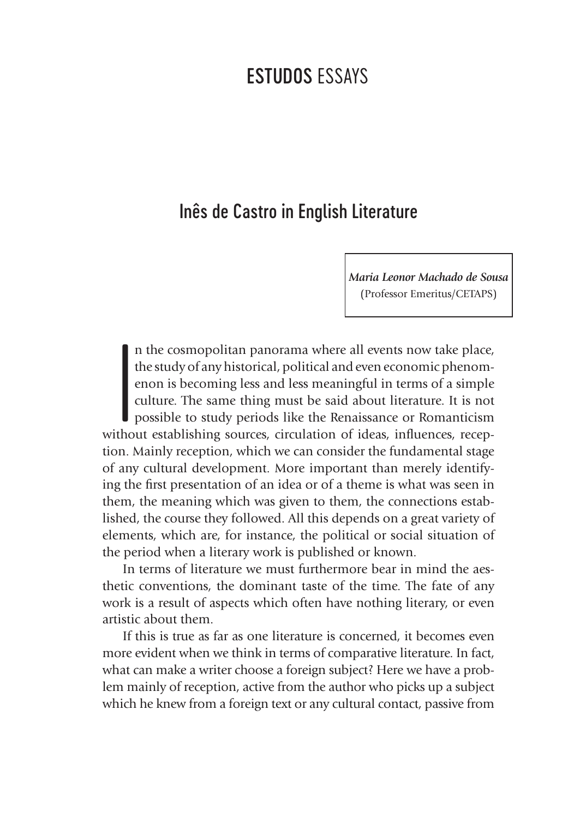# Inês de Castro in English Literature

*Maria Leonor Machado de Sousa* (Professor Emeritus/CETAPS)

**I**<br>Itho n the cosmopolitan panorama where all events now take place, the study of any historical, political and even economic phenomenon is becoming less and less meaningful in terms of a simple culture. The same thing must be said about literature. It is not possible to study periods like the Renaissance or Romanticism without establishing sources, circulation of ideas, influences, reception. Mainly reception, which we can consider the fundamental stage of any cultural development. More important than merely identifying the first presentation of an idea or of a theme is what was seen in them, the meaning which was given to them, the connections established, the course they followed. All this depends on a great variety of elements, which are, for instance, the political or social situation of the period when a literary work is published or known.

In terms of literature we must furthermore bear in mind the aesthetic conventions, the dominant taste of the time. The fate of any work is a result of aspects which often have nothing literary, or even artistic about them.

If this is true as far as one literature is concerned, it becomes even more evident when we think in terms of comparative literature. In fact, what can make a writer choose a foreign subject? Here we have a problem mainly of reception, active from the author who picks up a subject which he knew from a foreign text or any cultural contact, passive from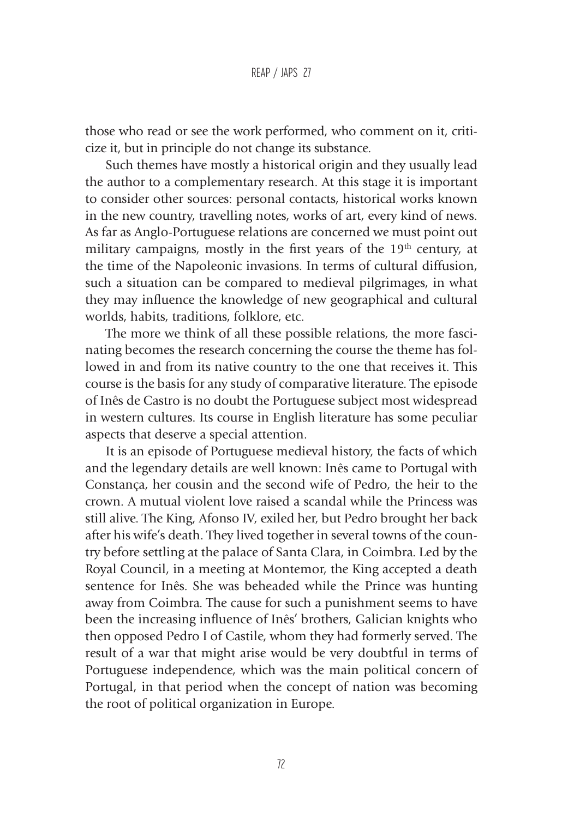those who read or see the work performed, who comment on it, criticize it, but in principle do not change its substance.

Such themes have mostly a historical origin and they usually lead the author to a complementary research. At this stage it is important to consider other sources: personal contacts, historical works known in the new country, travelling notes, works of art, every kind of news. As far as Anglo-Portuguese relations are concerned we must point out military campaigns, mostly in the first years of the 19<sup>th</sup> century, at the time of the Napoleonic invasions. In terms of cultural diffusion, such a situation can be compared to medieval pilgrimages, in what they may influence the knowledge of new geographical and cultural worlds, habits, traditions, folklore, etc.

The more we think of all these possible relations, the more fascinating becomes the research concerning the course the theme has followed in and from its native country to the one that receives it. This course is the basis for any study of comparative literature. The episode of Inês de Castro is no doubt the Portuguese subject most widespread in western cultures. Its course in English literature has some peculiar aspects that deserve a special attention.

It is an episode of Portuguese medieval history, the facts of which and the legendary details are well known: Inês came to Portugal with Constança, her cousin and the second wife of Pedro, the heir to the crown. A mutual violent love raised a scandal while the Princess was still alive. The King, Afonso IV, exiled her, but Pedro brought her back after his wife's death. They lived together in several towns of the country before settling at the palace of Santa Clara, in Coimbra. Led by the Royal Council, in a meeting at Montemor, the King accepted a death sentence for Inês. She was beheaded while the Prince was hunting away from Coimbra. The cause for such a punishment seems to have been the increasing influence of Inês' brothers, Galician knights who then opposed Pedro I of Castile, whom they had formerly served. The result of a war that might arise would be very doubtful in terms of Portuguese independence, which was the main political concern of Portugal, in that period when the concept of nation was becoming the root of political organization in Europe.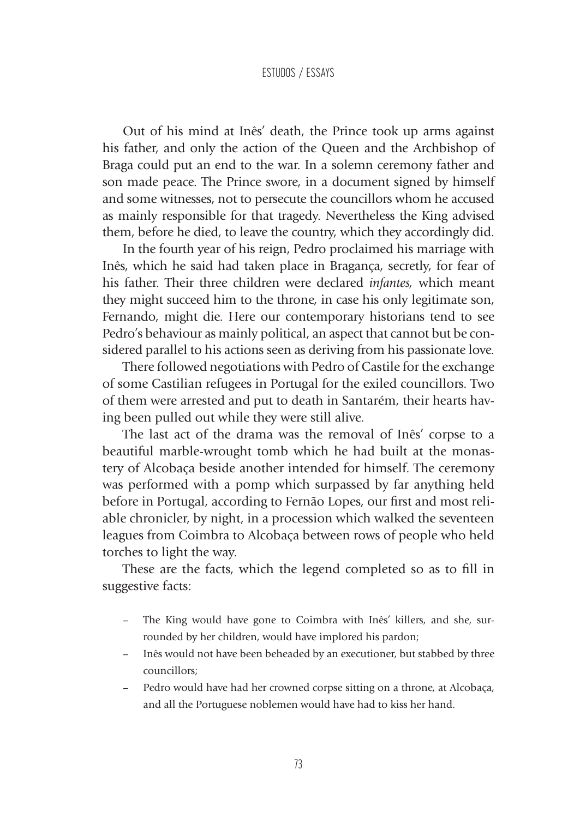Out of his mind at Inês' death, the Prince took up arms against his father, and only the action of the Queen and the Archbishop of Braga could put an end to the war. In a solemn ceremony father and son made peace. The Prince swore, in a document signed by himself and some witnesses, not to persecute the councillors whom he accused as mainly responsible for that tragedy. Nevertheless the King advised them, before he died, to leave the country, which they accordingly did.

In the fourth year of his reign, Pedro proclaimed his marriage with Inês, which he said had taken place in Bragança, secretly, for fear of his father. Their three children were declared *infantes,* which meant they might succeed him to the throne, in case his only legitimate son, Fernando, might die. Here our contemporary historians tend to see Pedro's behaviour as mainly political, an aspect that cannot but be considered parallel to his actions seen as deriving from his passionate love.

There followed negotiations with Pedro of Castile for the exchange of some Castilian refugees in Portugal for the exiled councillors. Two of them were arrested and put to death in Santarém, their hearts having been pulled out while they were still alive.

The last act of the drama was the removal of Inês' corpse to a beautiful marble-wrought tomb which he had built at the monastery of Alcobaça beside another intended for himself. The ceremony was performed with a pomp which surpassed by far anything held before in Portugal, according to Fernão Lopes, our first and most reliable chronicler, by night, in a procession which walked the seventeen leagues from Coimbra to Alcobaça between rows of people who held torches to light the way.

These are the facts, which the legend completed so as to fill in suggestive facts:

- The King would have gone to Coimbra with Inês' killers, and she, surrounded by her children, would have implored his pardon;
- Inês would not have been beheaded by an executioner, but stabbed by three councillors;
- Pedro would have had her crowned corpse sitting on a throne, at Alcobaça, and all the Portuguese noblemen would have had to kiss her hand.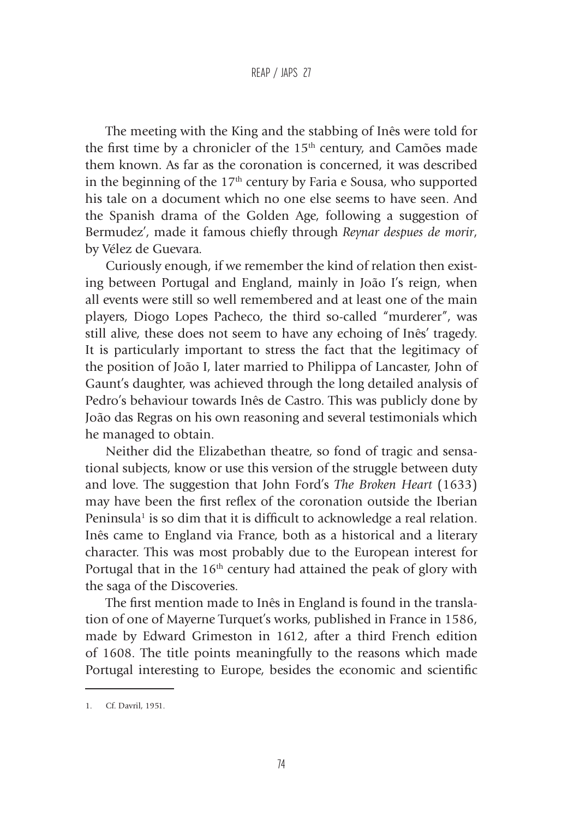The meeting with the King and the stabbing of Inês were told for the first time by a chronicler of the  $15<sup>th</sup>$  century, and Camões made them known. As far as the coronation is concerned, it was described in the beginning of the  $17<sup>th</sup>$  century by Faria e Sousa, who supported his tale on a document which no one else seems to have seen. And the Spanish drama of the Golden Age, following a suggestion of Bermudez', made it famous chiefly through *Reynar despues de morir*, by Vélez de Guevara.

Curiously enough, if we remember the kind of relation then existing between Portugal and England, mainly in João I's reign, when all events were still so well remembered and at least one of the main players, Diogo Lopes Pacheco, the third so-called "murderer", was still alive, these does not seem to have any echoing of Inês' tragedy. It is particularly important to stress the fact that the legitimacy of the position of João I, later married to Philippa of Lancaster, John of Gaunt's daughter, was achieved through the long detailed analysis of Pedro's behaviour towards Inês de Castro. This was publicly done by João das Regras on his own reasoning and several testimonials which he managed to obtain.

Neither did the Elizabethan theatre, so fond of tragic and sensational subjects, know or use this version of the struggle between duty and love. The suggestion that John Ford's *The Broken Heart* (1633) may have been the first reflex of the coronation outside the Iberian Peninsula<sup>1</sup> is so dim that it is difficult to acknowledge a real relation. Inês came to England via France, both as a historical and a literary character. This was most probably due to the European interest for Portugal that in the 16<sup>th</sup> century had attained the peak of glory with the saga of the Discoveries.

The first mention made to Inês in England is found in the translation of one of Mayerne Turquet's works, published in France in 1586, made by Edward Grimeston in 1612, after a third French edition of 1608. The title points meaningfully to the reasons which made Portugal interesting to Europe, besides the economic and scientific

<sup>1.</sup> Cf. Davril, 1951.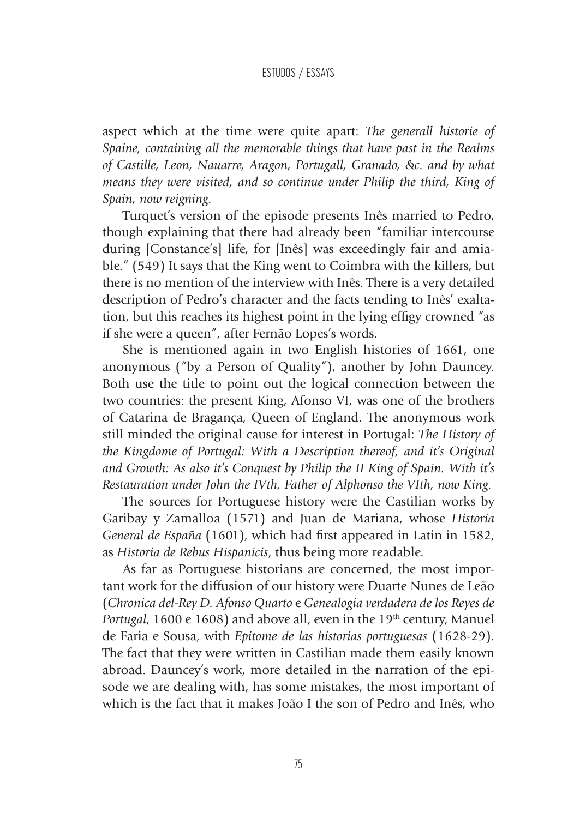aspect which at the time were quite apart: *The generall historie of Spaine, containing all the memorable things that have past in the Realms of Castille, Leon, Nauarre, Aragon, Portugall, Granado, &c. and by what means they were visited, and so continue under Philip the third, King of Spain, now reigning.*

Turquet's version of the episode presents Inês married to Pedro, though explaining that there had already been "familiar intercourse during [Constance's] life, for [Inês] was exceedingly fair and amiable." (549) It says that the King went to Coimbra with the killers, but there is no mention of the interview with Inês. There is a very detailed description of Pedro's character and the facts tending to Inês' exaltation, but this reaches its highest point in the lying effigy crowned "as if she were a queen", after Fernão Lopes's words.

She is mentioned again in two English histories of 1661, one anonymous ("by a Person of Quality"), another by John Dauncey. Both use the title to point out the logical connection between the two countries: the present King, Afonso VI, was one of the brothers of Catarina de Bragança, Queen of England. The anonymous work still minded the original cause for interest in Portugal: *The History of the Kingdome of Portugal: With a Description thereof, and it's Original and Growth: As also it's Conquest by Philip the II King of Spain. With it's Restauration under John the IVth, Father of Alphonso the VIth, now King.*

The sources for Portuguese history were the Castilian works by Garibay y Zamalloa (1571) and Juan de Mariana, whose *Historia General de España* (1601), which had first appeared in Latin in 1582, as *Historia de Rebus Hispanicis*, thus being more readable.

As far as Portuguese historians are concerned, the most important work for the diffusion of our history were Duarte Nunes de Leão (*Chronica del-Rey D. Afonso Quarto* e *Genealogia verdadera de los Reyes de Portugal*, 1600 e 1608) and above all, even in the 19<sup>th</sup> century, Manuel de Faria e Sousa, with *Epitome de las historias portuguesas* (1628-29). The fact that they were written in Castilian made them easily known abroad. Dauncey's work, more detailed in the narration of the episode we are dealing with, has some mistakes, the most important of which is the fact that it makes João I the son of Pedro and Inês, who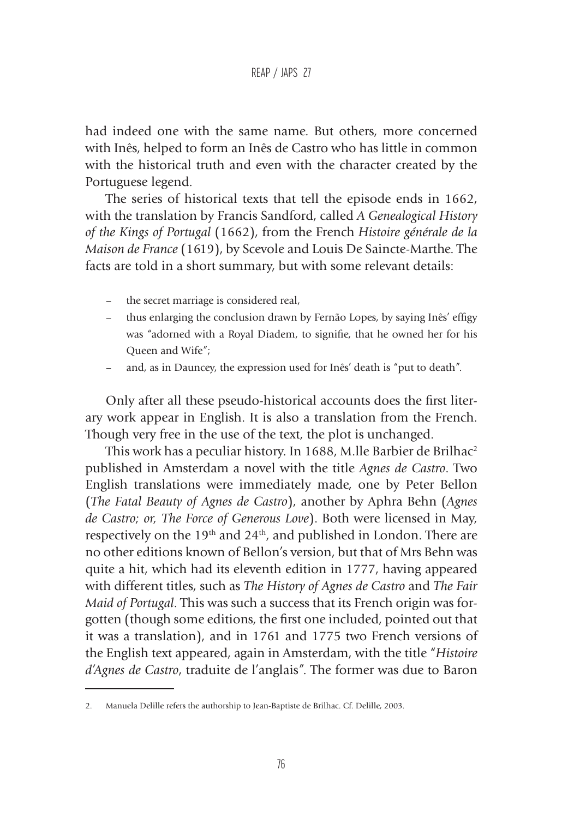had indeed one with the same name. But others, more concerned with Inês, helped to form an Inês de Castro who has little in common with the historical truth and even with the character created by the Portuguese legend.

The series of historical texts that tell the episode ends in 1662, with the translation by Francis Sandford, called *A Genealogical History of the Kings of Portugal* (1662), from the French *Histoire générale de la Maison de France* (1619), by Scevole and Louis De Saincte-Marthe. The facts are told in a short summary, but with some relevant details:

- the secret marriage is considered real,
- thus enlarging the conclusion drawn by Fernão Lopes, by saying Inês' effigy was "adorned with a Royal Diadem, to signifie, that he owned her for his Queen and Wife";
- and, as in Dauncey, the expression used for Inês' death is "put to death".

Only after all these pseudo-historical accounts does the first literary work appear in English. It is also a translation from the French. Though very free in the use of the text, the plot is unchanged.

This work has a peculiar history. In 1688, M.lle Barbier de Brilhac<sup>2</sup> published in Amsterdam a novel with the title *Agnes de Castro*. Two English translations were immediately made, one by Peter Bellon (*The Fatal Beauty of Agnes de Castro*), another by Aphra Behn (*Agnes de Castro; or, The Force of Generous Love*). Both were licensed in May, respectively on the 19th and 24th, and published in London. There are no other editions known of Bellon's version, but that of Mrs Behn was quite a hit, which had its eleventh edition in 1777, having appeared with different titles, such as *The History of Agnes de Castro* and *The Fair Maid of Portugal*. This was such a success that its French origin was forgotten (though some editions, the first one included, pointed out that it was a translation), and in 1761 and 1775 two French versions of the English text appeared, again in Amsterdam, with the title "*Histoire d'Agnes de Castro*, traduite de l'anglais". The former was due to Baron

<sup>2.</sup> Manuela Delille refers the authorship to Jean-Baptiste de Brilhac. Cf. Delille, 2003.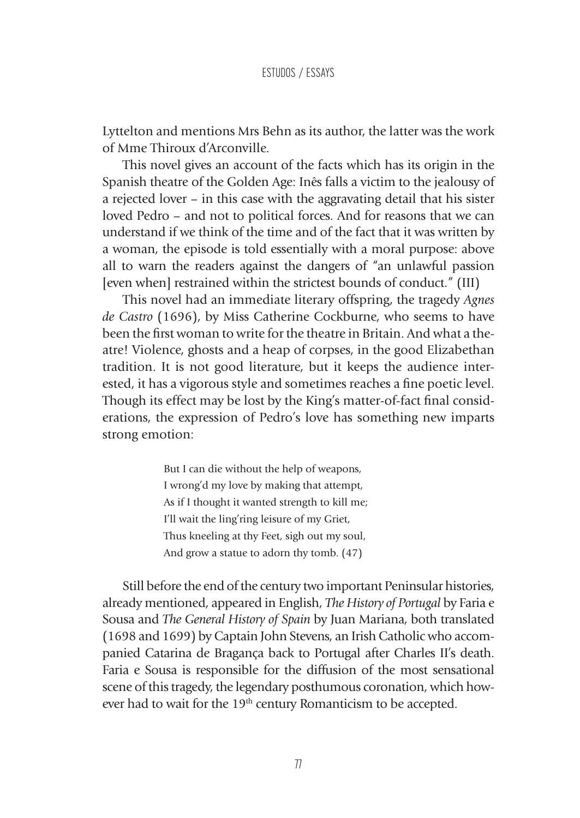Lyttelton and mentions Mrs Behn as its author, the latter was the work of Mme Thiroux d'Arconville.

This novel gives an account of the facts which has its origin in the Spanish theatre of the Golden Age: Inês falls a victim to the jealousy of a rejected lover – in this case with the aggravating detail that his sister loved Pedro – and not to political forces. And for reasons that we can understand if we think of the time and of the fact that it was written by a woman, the episode is told essentially with a moral purpose: above all to warn the readers against the dangers of "an unlawful passion [even when] restrained within the strictest bounds of conduct." (III)

This novel had an immediate literary offspring, the tragedy *Agnes de Castro* (1696), by Miss Catherine Cockburne, who seems to have been the first woman to write for the theatre in Britain. And what a theatre! Violence, ghosts and a heap of corpses, in the good Elizabethan tradition. It is not good literature, but it keeps the audience interested, it has a vigorous style and sometimes reaches a fine poetic level. Though its effect may be lost by the King's matter-of-fact final considerations, the expression of Pedro's love has something new imparts strong emotion:

> But I can die without the help of weapons, I wrong'd my love by making that attempt, As if I thought it wanted strength to kill me; I'll wait the ling'ring leisure of my Griet, Thus kneeling at thy Feet, sigh out my soul, And grow a statue to adorn thy tomb. (47)

Still before the end of the century two important Peninsular histories, already mentioned, appeared in English, *The History of Portugal* by Faria e Sousa and *The General History of Spain* by Juan Mariana, both translated (1698 and 1699) by Captain John Stevens, an Irish Catholic who accompanied Catarina de Bragança back to Portugal after Charles II's death. Faria e Sousa is responsible for the diffusion of the most sensational scene of this tragedy, the legendary posthumous coronation, which however had to wait for the 19<sup>th</sup> century Romanticism to be accepted.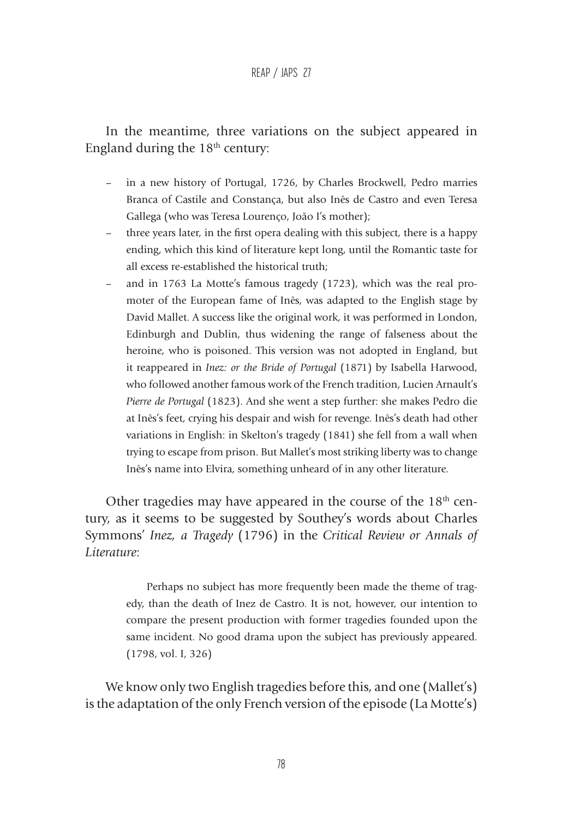In the meantime, three variations on the subject appeared in England during the  $18<sup>th</sup>$  century:

- in a new history of Portugal, 1726, by Charles Brockwell, Pedro marries Branca of Castile and Constança, but also Inês de Castro and even Teresa Gallega (who was Teresa Lourenço, João I's mother);
- three years later, in the first opera dealing with this subject, there is a happy ending, which this kind of literature kept long, until the Romantic taste for all excess re-established the historical truth;
- and in 1763 La Motte's famous tragedy (1723), which was the real promoter of the European fame of Inês, was adapted to the English stage by David Mallet. A success like the original work, it was performed in London, Edinburgh and Dublin, thus widening the range of falseness about the heroine, who is poisoned. This version was not adopted in England, but it reappeared in *Inez: or the Bride of Portugal* (1871) by Isabella Harwood, who followed another famous work of the French tradition, Lucien Arnault's *Pierre de Portugal* (1823). And she went a step further: she makes Pedro die at Inês's feet, crying his despair and wish for revenge. Inês's death had other variations in English: in Skelton's tragedy (1841) she fell from a wall when trying to escape from prison. But Mallet's most striking liberty was to change Inês's name into Elvira, something unheard of in any other literature.

Other tragedies may have appeared in the course of the  $18<sup>th</sup>$  century, as it seems to be suggested by Southey's words about Charles Symmons' *Inez, a Tragedy* (1796) in the *Critical Review or Annals of Literature*:

> Perhaps no subject has more frequently been made the theme of tragedy, than the death of Inez de Castro. It is not, however, our intention to compare the present production with former tragedies founded upon the same incident. No good drama upon the subject has previously appeared. (1798, vol. I, 326)

We know only two English tragedies before this, and one (Mallet's) is the adaptation of the only French version of the episode (La Motte's)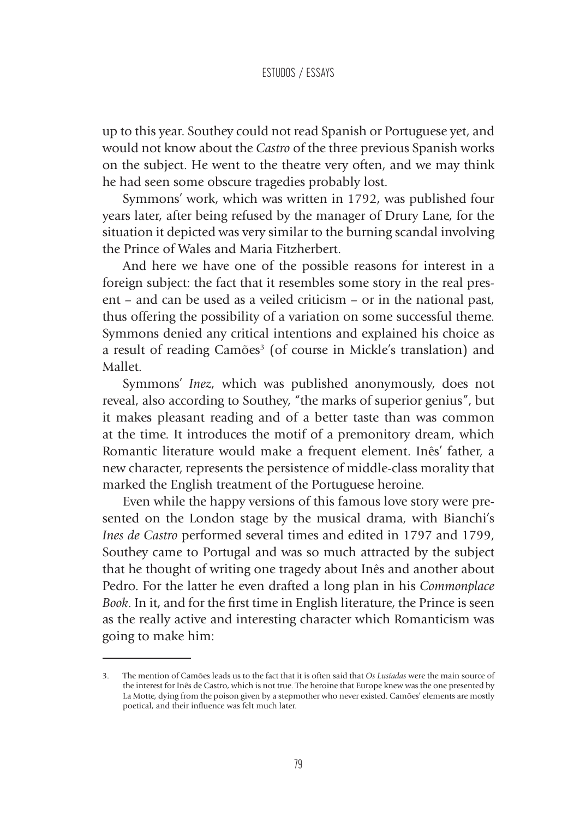up to this year. Southey could not read Spanish or Portuguese yet, and would not know about the *Castro* of the three previous Spanish works on the subject. He went to the theatre very often, and we may think he had seen some obscure tragedies probably lost.

Symmons' work, which was written in 1792, was published four years later, after being refused by the manager of Drury Lane, for the situation it depicted was very similar to the burning scandal involving the Prince of Wales and Maria Fitzherbert.

And here we have one of the possible reasons for interest in a foreign subject: the fact that it resembles some story in the real present – and can be used as a veiled criticism – or in the national past, thus offering the possibility of a variation on some successful theme. Symmons denied any critical intentions and explained his choice as a result of reading Camões<sup>3</sup> (of course in Mickle's translation) and Mallet.

Symmons' *Inez*, which was published anonymously, does not reveal, also according to Southey, "the marks of superior genius", but it makes pleasant reading and of a better taste than was common at the time. It introduces the motif of a premonitory dream, which Romantic literature would make a frequent element. Inês' father, a new character, represents the persistence of middle-class morality that marked the English treatment of the Portuguese heroine.

Even while the happy versions of this famous love story were presented on the London stage by the musical drama, with Bianchi's *Ines de Castro* performed several times and edited in 1797 and 1799, Southey came to Portugal and was so much attracted by the subject that he thought of writing one tragedy about Inês and another about Pedro. For the latter he even drafted a long plan in his *Commonplace Book*. In it, and for the first time in English literature, the Prince is seen as the really active and interesting character which Romanticism was going to make him:

<sup>3.</sup> The mention of Camões leads us to the fact that it is often said that *Os Lusíadas* were the main source of the interest for Inês de Castro, which is not true. The heroine that Europe knew was the one presented by La Motte, dying from the poison given by a stepmother who never existed. Camões' elements are mostly poetical, and their influence was felt much later.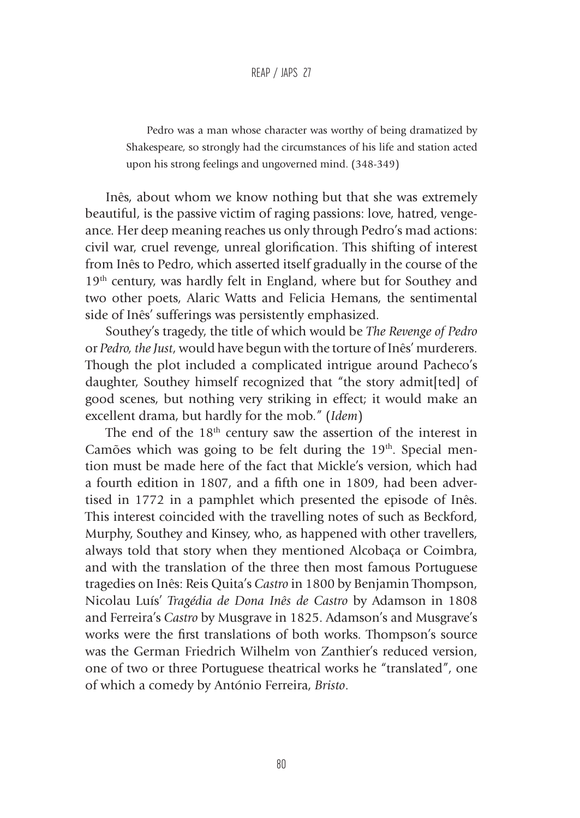Pedro was a man whose character was worthy of being dramatized by Shakespeare, so strongly had the circumstances of his life and station acted upon his strong feelings and ungoverned mind. (348-349)

Inês, about whom we know nothing but that she was extremely beautiful, is the passive victim of raging passions: love, hatred, vengeance. Her deep meaning reaches us only through Pedro's mad actions: civil war, cruel revenge, unreal glorification. This shifting of interest from Inês to Pedro, which asserted itself gradually in the course of the 19<sup>th</sup> century, was hardly felt in England, where but for Southey and two other poets, Alaric Watts and Felicia Hemans, the sentimental side of Inês' sufferings was persistently emphasized.

Southey's tragedy, the title of which would be *The Revenge of Pedro* or *Pedro, the Just*, would have begun with the torture of Inês' murderers. Though the plot included a complicated intrigue around Pacheco's daughter, Southey himself recognized that "the story admit[ted] of good scenes, but nothing very striking in effect; it would make an excellent drama, but hardly for the mob." (*Idem*)

The end of the 18<sup>th</sup> century saw the assertion of the interest in Camões which was going to be felt during the 19<sup>th</sup>. Special mention must be made here of the fact that Mickle's version, which had a fourth edition in 1807, and a fifth one in 1809, had been advertised in 1772 in a pamphlet which presented the episode of Inês. This interest coincided with the travelling notes of such as Beckford, Murphy, Southey and Kinsey, who, as happened with other travellers, always told that story when they mentioned Alcobaça or Coimbra, and with the translation of the three then most famous Portuguese tragedies on Inês: Reis Quita's *Castro* in 1800 by Benjamin Thompson, Nicolau Luís' *Tragédia de Dona Inês de Castro* by Adamson in 1808 and Ferreira's *Castro* by Musgrave in 1825. Adamson's and Musgrave's works were the first translations of both works. Thompson's source was the German Friedrich Wilhelm von Zanthier's reduced version, one of two or three Portuguese theatrical works he "translated", one of which a comedy by António Ferreira, *Bristo*.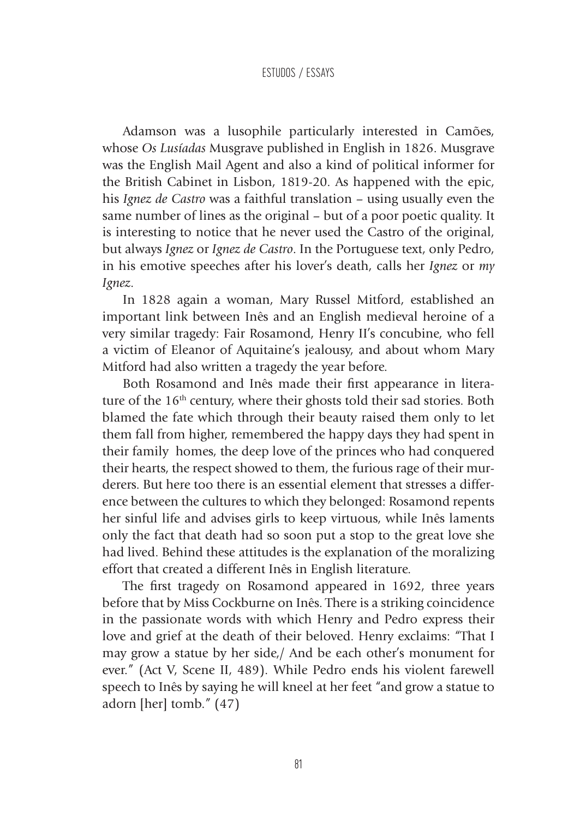Adamson was a lusophile particularly interested in Camões, whose *Os Lusíadas* Musgrave published in English in 1826. Musgrave was the English Mail Agent and also a kind of political informer for the British Cabinet in Lisbon, 1819-20. As happened with the epic, his *Ignez de Castro* was a faithful translation – using usually even the same number of lines as the original – but of a poor poetic quality. It is interesting to notice that he never used the Castro of the original, but always *Ignez* or *Ignez de Castro*. In the Portuguese text, only Pedro, in his emotive speeches after his lover's death, calls her *Ignez* or *my Ignez*.

In 1828 again a woman, Mary Russel Mitford, established an important link between Inês and an English medieval heroine of a very similar tragedy: Fair Rosamond, Henry II's concubine, who fell a victim of Eleanor of Aquitaine's jealousy, and about whom Mary Mitford had also written a tragedy the year before.

Both Rosamond and Inês made their first appearance in literature of the 16<sup>th</sup> century, where their ghosts told their sad stories. Both blamed the fate which through their beauty raised them only to let them fall from higher, remembered the happy days they had spent in their family homes, the deep love of the princes who had conquered their hearts, the respect showed to them, the furious rage of their murderers. But here too there is an essential element that stresses a difference between the cultures to which they belonged: Rosamond repents her sinful life and advises girls to keep virtuous, while Inês laments only the fact that death had so soon put a stop to the great love she had lived. Behind these attitudes is the explanation of the moralizing effort that created a different Inês in English literature.

The first tragedy on Rosamond appeared in 1692, three years before that by Miss Cockburne on Inês. There is a striking coincidence in the passionate words with which Henry and Pedro express their love and grief at the death of their beloved. Henry exclaims: "That I may grow a statue by her side,/ And be each other's monument for ever." (Act V, Scene II, 489). While Pedro ends his violent farewell speech to Inês by saying he will kneel at her feet "and grow a statue to adorn [her] tomb." (47)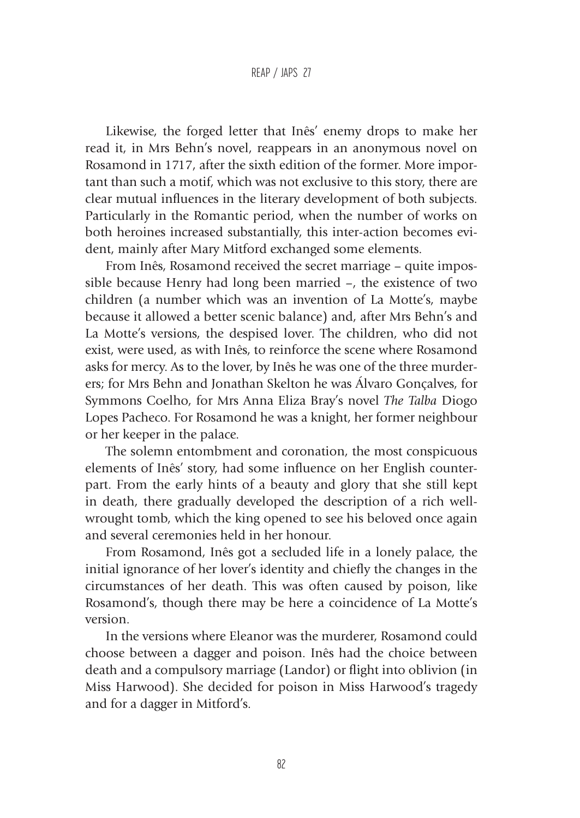Likewise, the forged letter that Inês' enemy drops to make her read it, in Mrs Behn's novel, reappears in an anonymous novel on Rosamond in 1717, after the sixth edition of the former. More important than such a motif, which was not exclusive to this story, there are clear mutual influences in the literary development of both subjects. Particularly in the Romantic period, when the number of works on both heroines increased substantially, this inter-action becomes evident, mainly after Mary Mitford exchanged some elements.

From Inês, Rosamond received the secret marriage – quite impossible because Henry had long been married –, the existence of two children (a number which was an invention of La Motte's, maybe because it allowed a better scenic balance) and, after Mrs Behn's and La Motte's versions, the despised lover. The children, who did not exist, were used, as with Inês, to reinforce the scene where Rosamond asks for mercy. As to the lover, by Inês he was one of the three murderers; for Mrs Behn and Jonathan Skelton he was Álvaro Gonçalves, for Symmons Coelho, for Mrs Anna Eliza Bray's novel *The Talba* Diogo Lopes Pacheco. For Rosamond he was a knight, her former neighbour or her keeper in the palace.

The solemn entombment and coronation, the most conspicuous elements of Inês' story, had some influence on her English counterpart. From the early hints of a beauty and glory that she still kept in death, there gradually developed the description of a rich wellwrought tomb, which the king opened to see his beloved once again and several ceremonies held in her honour.

From Rosamond, Inês got a secluded life in a lonely palace, the initial ignorance of her lover's identity and chiefly the changes in the circumstances of her death. This was often caused by poison, like Rosamond's, though there may be here a coincidence of La Motte's version.

In the versions where Eleanor was the murderer, Rosamond could choose between a dagger and poison. Inês had the choice between death and a compulsory marriage (Landor) or flight into oblivion (in Miss Harwood). She decided for poison in Miss Harwood's tragedy and for a dagger in Mitford's.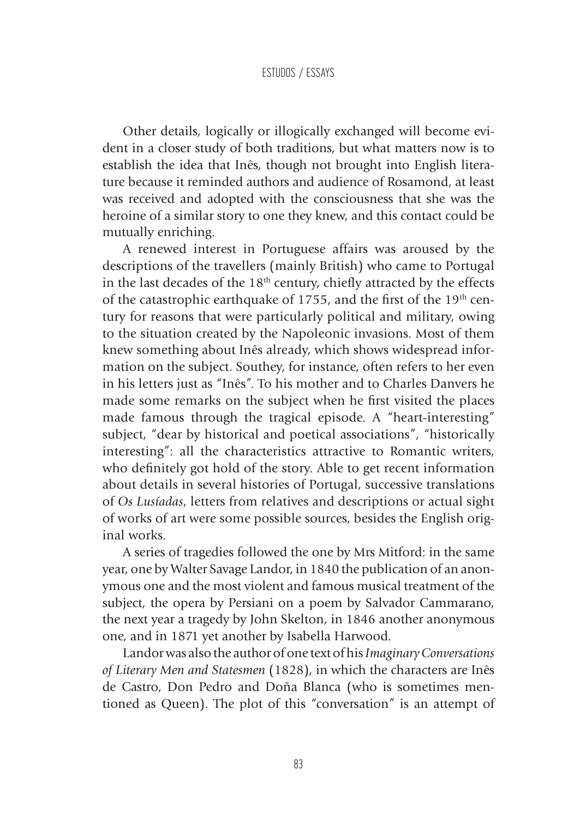Other details, logically or illogically exchanged will become evident in a closer study of both traditions, but what matters now is to establish the idea that Inês, though not brought into English literature because it reminded authors and audience of Rosamond, at least was received and adopted with the consciousness that she was the heroine of a similar story to one they knew, and this contact could be mutually enriching.

A renewed interest in Portuguese affairs was aroused by the descriptions of the travellers (mainly British) who came to Portugal in the last decades of the  $18<sup>th</sup>$  century, chiefly attracted by the effects of the catastrophic earthquake of 1755, and the first of the 19<sup>th</sup> century for reasons that were particularly political and military, owing to the situation created by the Napoleonic invasions. Most of them knew something about Inês already, which shows widespread information on the subject. Southey, for instance, often refers to her even in his letters just as "Inês". To his mother and to Charles Danvers he made some remarks on the subject when he first visited the places made famous through the tragical episode. A "heart-interesting" subject, "dear by historical and poetical associations", "historically interesting": all the characteristics attractive to Romantic writers, who definitely got hold of the story. Able to get recent information about details in several histories of Portugal, successive translations of *Os Lusíadas*, letters from relatives and descriptions or actual sight of works of art were some possible sources, besides the English original works.

A series of tragedies followed the one by Mrs Mitford: in the same year, one by Walter Savage Landor, in 1840 the publication of an anonymous one and the most violent and famous musical treatment of the subject, the opera by Persiani on a poem by Salvador Cammarano, the next year a tragedy by John Skelton, in 1846 another anonymous one, and in 1871 yet another by Isabella Harwood.

Landor was also the author of one text of his *Imaginary Conversations of Literary Men and Statesmen* (1828), in which the characters are Inês de Castro, Don Pedro and Doña Blanca (who is sometimes mentioned as Queen). The plot of this "conversation" is an attempt of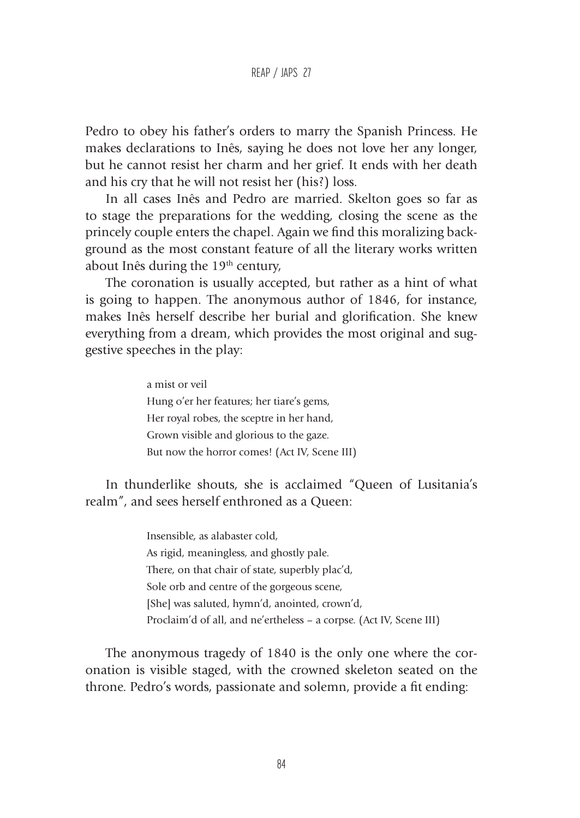Pedro to obey his father's orders to marry the Spanish Princess. He makes declarations to Inês, saying he does not love her any longer, but he cannot resist her charm and her grief. It ends with her death and his cry that he will not resist her (his?) loss.

In all cases Inês and Pedro are married. Skelton goes so far as to stage the preparations for the wedding, closing the scene as the princely couple enters the chapel. Again we find this moralizing background as the most constant feature of all the literary works written about Inês during the 19<sup>th</sup> century,

The coronation is usually accepted, but rather as a hint of what is going to happen. The anonymous author of 1846, for instance, makes Inês herself describe her burial and glorification. She knew everything from a dream, which provides the most original and suggestive speeches in the play:

> a mist or veil Hung o'er her features; her tiare's gems, Her royal robes, the sceptre in her hand, Grown visible and glorious to the gaze. But now the horror comes! (Act IV, Scene III)

In thunderlike shouts, she is acclaimed "Queen of Lusitania's realm", and sees herself enthroned as a Queen:

> Insensible, as alabaster cold, As rigid, meaningless, and ghostly pale. There, on that chair of state, superbly plac'd, Sole orb and centre of the gorgeous scene, [She] was saluted, hymn'd, anointed, crown'd, Proclaim'd of all, and ne'ertheless – a corpse. (Act IV, Scene III)

The anonymous tragedy of 1840 is the only one where the coronation is visible staged, with the crowned skeleton seated on the throne. Pedro's words, passionate and solemn, provide a fit ending: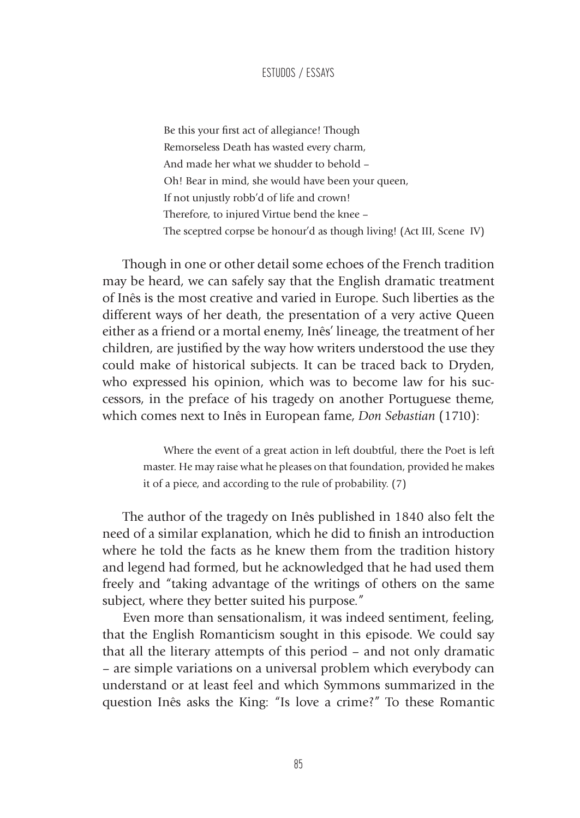Be this your first act of allegiance! Though Remorseless Death has wasted every charm, And made her what we shudder to behold – Oh! Bear in mind, she would have been your queen, If not unjustly robb'd of life and crown! Therefore, to injured Virtue bend the knee – The sceptred corpse be honour'd as though living! (Act III, Scene IV)

Though in one or other detail some echoes of the French tradition may be heard, we can safely say that the English dramatic treatment of Inês is the most creative and varied in Europe. Such liberties as the different ways of her death, the presentation of a very active Queen either as a friend or a mortal enemy, Inês' lineage, the treatment of her children, are justified by the way how writers understood the use they could make of historical subjects. It can be traced back to Dryden, who expressed his opinion, which was to become law for his successors, in the preface of his tragedy on another Portuguese theme, which comes next to Inês in European fame, *Don Sebastian* (1710):

> Where the event of a great action in left doubtful, there the Poet is left master. He may raise what he pleases on that foundation, provided he makes it of a piece, and according to the rule of probability. (7)

The author of the tragedy on Inês published in 1840 also felt the need of a similar explanation, which he did to finish an introduction where he told the facts as he knew them from the tradition history and legend had formed, but he acknowledged that he had used them freely and "taking advantage of the writings of others on the same subject, where they better suited his purpose."

Even more than sensationalism, it was indeed sentiment, feeling, that the English Romanticism sought in this episode. We could say that all the literary attempts of this period – and not only dramatic – are simple variations on a universal problem which everybody can understand or at least feel and which Symmons summarized in the question Inês asks the King: "Is love a crime?" To these Romantic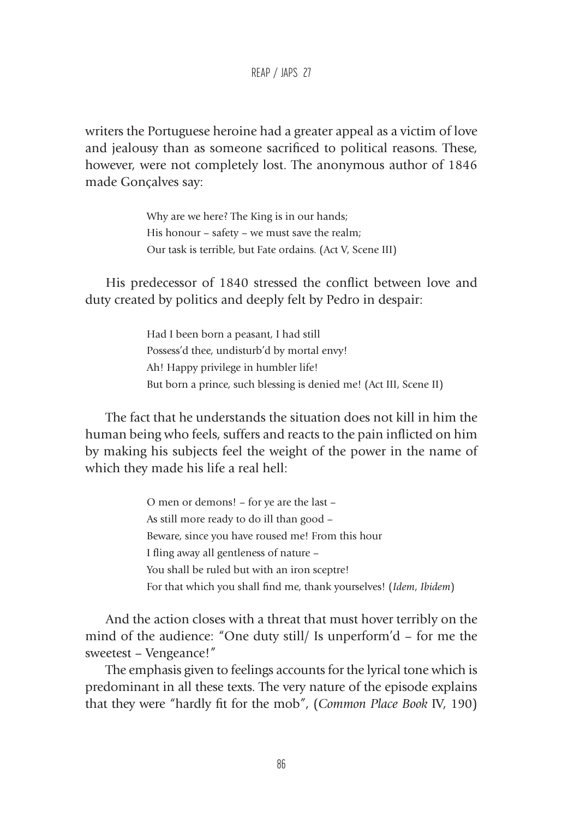REAP / JAPS 27

writers the Portuguese heroine had a greater appeal as a victim of love and jealousy than as someone sacrificed to political reasons. These, however, were not completely lost. The anonymous author of 1846 made Gonçalves say:

> Why are we here? The King is in our hands; His honour – safety – we must save the realm; Our task is terrible, but Fate ordains. (Act V, Scene III)

His predecessor of 1840 stressed the conflict between love and duty created by politics and deeply felt by Pedro in despair:

> Had I been born a peasant, I had still Possess'd thee, undisturb'd by mortal envy! Ah! Happy privilege in humbler life! But born a prince, such blessing is denied me! (Act III, Scene II)

The fact that he understands the situation does not kill in him the human being who feels, suffers and reacts to the pain inflicted on him by making his subjects feel the weight of the power in the name of which they made his life a real hell:

> O men or demons! – for ye are the last – As still more ready to do ill than good – Beware, since you have roused me! From this hour I fling away all gentleness of nature – You shall be ruled but with an iron sceptre! For that which you shall find me, thank yourselves! (*Idem*, *Ibidem*)

And the action closes with a threat that must hover terribly on the mind of the audience: "One duty still/ Is unperform'd – for me the sweetest – Vengeance!"

The emphasis given to feelings accounts for the lyrical tone which is predominant in all these texts. The very nature of the episode explains that they were "hardly fit for the mob", (*Common Place Book* IV, 190)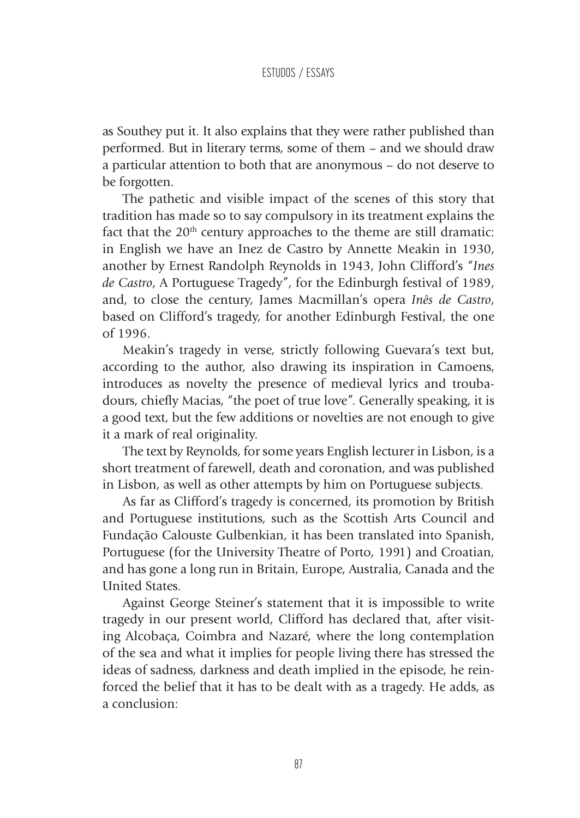as Southey put it. It also explains that they were rather published than performed. But in literary terms, some of them – and we should draw a particular attention to both that are anonymous – do not deserve to be forgotten.

The pathetic and visible impact of the scenes of this story that tradition has made so to say compulsory in its treatment explains the fact that the  $20<sup>th</sup>$  century approaches to the theme are still dramatic: in English we have an Inez de Castro by Annette Meakin in 1930, another by Ernest Randolph Reynolds in 1943, John Clifford's "*Ines de Castro*, A Portuguese Tragedy", for the Edinburgh festival of 1989, and, to close the century, James Macmillan's opera *Inês de Castro*, based on Clifford's tragedy, for another Edinburgh Festival, the one of 1996.

Meakin's tragedy in verse, strictly following Guevara's text but, according to the author, also drawing its inspiration in Camoens, introduces as novelty the presence of medieval lyrics and troubadours, chiefly Macias, "the poet of true love". Generally speaking, it is a good text, but the few additions or novelties are not enough to give it a mark of real originality.

The text by Reynolds, for some years English lecturer in Lisbon, is a short treatment of farewell, death and coronation, and was published in Lisbon, as well as other attempts by him on Portuguese subjects.

As far as Clifford's tragedy is concerned, its promotion by British and Portuguese institutions, such as the Scottish Arts Council and Fundação Calouste Gulbenkian, it has been translated into Spanish, Portuguese (for the University Theatre of Porto, 1991) and Croatian, and has gone a long run in Britain, Europe, Australia, Canada and the United States.

Against George Steiner's statement that it is impossible to write tragedy in our present world, Clifford has declared that, after visiting Alcobaça, Coimbra and Nazaré, where the long contemplation of the sea and what it implies for people living there has stressed the ideas of sadness, darkness and death implied in the episode, he reinforced the belief that it has to be dealt with as a tragedy. He adds, as a conclusion: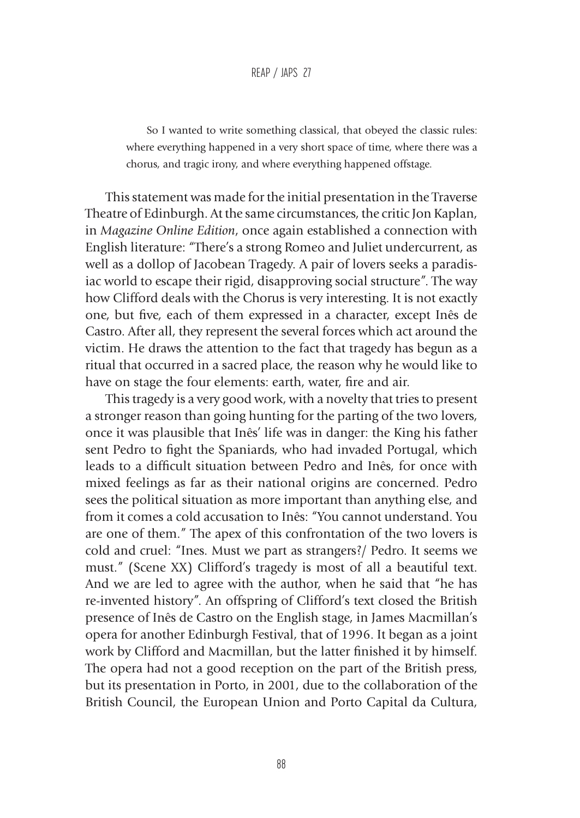So I wanted to write something classical, that obeyed the classic rules: where everything happened in a very short space of time, where there was a chorus, and tragic irony, and where everything happened offstage.

This statement was made for the initial presentation in the Traverse Theatre of Edinburgh. At the same circumstances, the critic Jon Kaplan, in *Magazine Online Edition*, once again established a connection with English literature: "There's a strong Romeo and Juliet undercurrent, as well as a dollop of Jacobean Tragedy. A pair of lovers seeks a paradisiac world to escape their rigid, disapproving social structure". The way how Clifford deals with the Chorus is very interesting. It is not exactly one, but five, each of them expressed in a character, except Inês de Castro. After all, they represent the several forces which act around the victim. He draws the attention to the fact that tragedy has begun as a ritual that occurred in a sacred place, the reason why he would like to have on stage the four elements: earth, water, fire and air.

This tragedy is a very good work, with a novelty that tries to present a stronger reason than going hunting for the parting of the two lovers, once it was plausible that Inês' life was in danger: the King his father sent Pedro to fight the Spaniards, who had invaded Portugal, which leads to a difficult situation between Pedro and Inês, for once with mixed feelings as far as their national origins are concerned. Pedro sees the political situation as more important than anything else, and from it comes a cold accusation to Inês: "You cannot understand. You are one of them." The apex of this confrontation of the two lovers is cold and cruel: "Ines. Must we part as strangers?/ Pedro. It seems we must." (Scene XX) Clifford's tragedy is most of all a beautiful text. And we are led to agree with the author, when he said that "he has re-invented history". An offspring of Clifford's text closed the British presence of Inês de Castro on the English stage, in James Macmillan's opera for another Edinburgh Festival, that of 1996. It began as a joint work by Clifford and Macmillan, but the latter finished it by himself. The opera had not a good reception on the part of the British press, but its presentation in Porto, in 2001, due to the collaboration of the British Council, the European Union and Porto Capital da Cultura,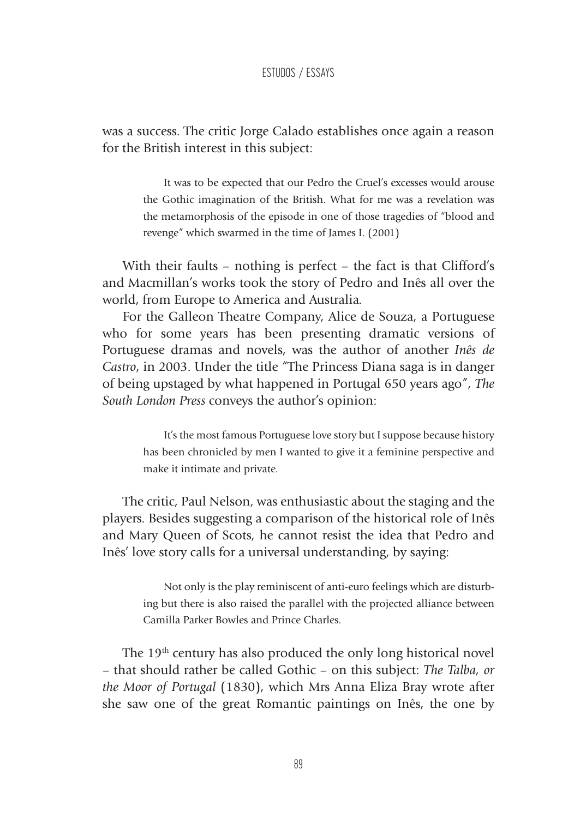was a success. The critic Jorge Calado establishes once again a reason for the British interest in this subject:

> It was to be expected that our Pedro the Cruel's excesses would arouse the Gothic imagination of the British. What for me was a revelation was the metamorphosis of the episode in one of those tragedies of "blood and revenge" which swarmed in the time of James I. (2001)

With their faults – nothing is perfect – the fact is that Clifford's and Macmillan's works took the story of Pedro and Inês all over the world, from Europe to America and Australia.

For the Galleon Theatre Company, Alice de Souza, a Portuguese who for some years has been presenting dramatic versions of Portuguese dramas and novels, was the author of another *Inês de Castro*, in 2003. Under the title "The Princess Diana saga is in danger of being upstaged by what happened in Portugal 650 years ago", *The South London Press* conveys the author's opinion:

> It's the most famous Portuguese love story but I suppose because history has been chronicled by men I wanted to give it a feminine perspective and make it intimate and private.

The critic, Paul Nelson, was enthusiastic about the staging and the players. Besides suggesting a comparison of the historical role of Inês and Mary Queen of Scots, he cannot resist the idea that Pedro and Inês' love story calls for a universal understanding, by saying:

> Not only is the play reminiscent of anti-euro feelings which are disturbing but there is also raised the parallel with the projected alliance between Camilla Parker Bowles and Prince Charles.

The 19<sup>th</sup> century has also produced the only long historical novel – that should rather be called Gothic – on this subject: *The Talba, or the Moor of Portugal* (1830), which Mrs Anna Eliza Bray wrote after she saw one of the great Romantic paintings on Inês, the one by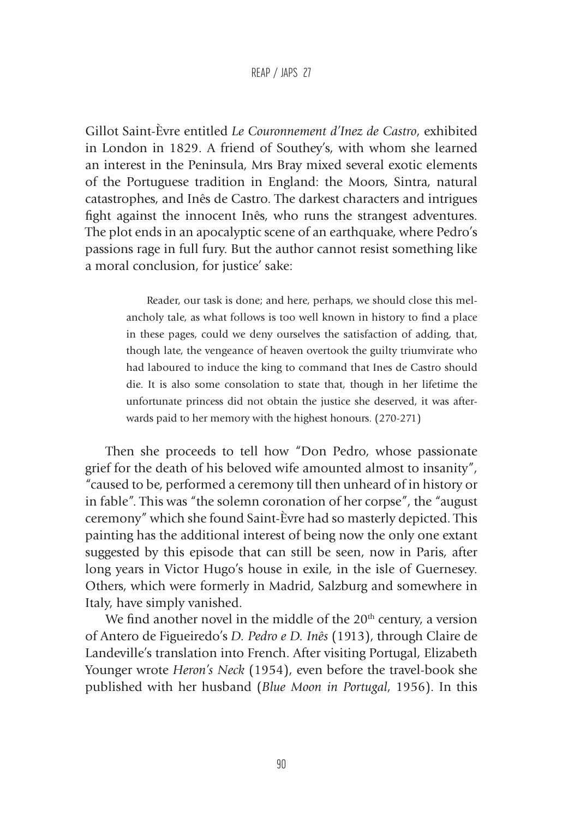#### REAP / JAPS 27

Gillot Saint-Èvre entitled *Le Couronnement d'Inez de Castro*, exhibited in London in 1829. A friend of Southey's, with whom she learned an interest in the Peninsula, Mrs Bray mixed several exotic elements of the Portuguese tradition in England: the Moors, Sintra, natural catastrophes, and Inês de Castro. The darkest characters and intrigues fight against the innocent Inês, who runs the strangest adventures. The plot ends in an apocalyptic scene of an earthquake, where Pedro's passions rage in full fury. But the author cannot resist something like a moral conclusion, for justice' sake:

> Reader, our task is done; and here, perhaps, we should close this melancholy tale, as what follows is too well known in history to find a place in these pages, could we deny ourselves the satisfaction of adding, that, though late, the vengeance of heaven overtook the guilty triumvirate who had laboured to induce the king to command that Ines de Castro should die. It is also some consolation to state that, though in her lifetime the unfortunate princess did not obtain the justice she deserved, it was afterwards paid to her memory with the highest honours. (270-271)

Then she proceeds to tell how "Don Pedro, whose passionate grief for the death of his beloved wife amounted almost to insanity", "caused to be, performed a ceremony till then unheard of in history or in fable". This was "the solemn coronation of her corpse", the "august ceremony" which she found Saint-Èvre had so masterly depicted. This painting has the additional interest of being now the only one extant suggested by this episode that can still be seen, now in Paris, after long years in Victor Hugo's house in exile, in the isle of Guernesey. Others, which were formerly in Madrid, Salzburg and somewhere in Italy, have simply vanished.

We find another novel in the middle of the  $20<sup>th</sup>$  century, a version of Antero de Figueiredo's *D. Pedro e D. Inês* (1913), through Claire de Landeville's translation into French. After visiting Portugal, Elizabeth Younger wrote *Heron's Neck* (1954), even before the travel-book she published with her husband (*Blue Moon in Portugal*, 1956). In this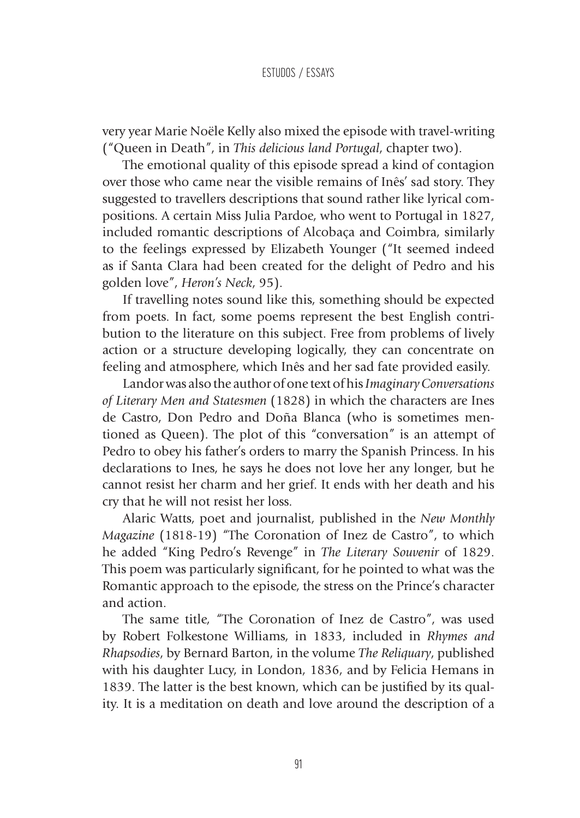very year Marie Noële Kelly also mixed the episode with travel-writing ("Queen in Death", in *This delicious land Portugal*, chapter two).

The emotional quality of this episode spread a kind of contagion over those who came near the visible remains of Inês' sad story. They suggested to travellers descriptions that sound rather like lyrical compositions. A certain Miss Julia Pardoe, who went to Portugal in 1827, included romantic descriptions of Alcobaça and Coimbra, similarly to the feelings expressed by Elizabeth Younger ("It seemed indeed as if Santa Clara had been created for the delight of Pedro and his golden love", *Heron's Neck*, 95).

If travelling notes sound like this, something should be expected from poets. In fact, some poems represent the best English contribution to the literature on this subject. Free from problems of lively action or a structure developing logically, they can concentrate on feeling and atmosphere, which Inês and her sad fate provided easily.

Landor was also the author of one text of his *Imaginary Conversations of Literary Men and Statesmen* (1828) in which the characters are Ines de Castro, Don Pedro and Doña Blanca (who is sometimes mentioned as Queen). The plot of this "conversation" is an attempt of Pedro to obey his father's orders to marry the Spanish Princess. In his declarations to Ines, he says he does not love her any longer, but he cannot resist her charm and her grief. It ends with her death and his cry that he will not resist her loss.

Alaric Watts, poet and journalist, published in the *New Monthly Magazine* (1818-19) "The Coronation of Inez de Castro", to which he added "King Pedro's Revenge" in *The Literary Souvenir* of 1829. This poem was particularly significant, for he pointed to what was the Romantic approach to the episode, the stress on the Prince's character and action.

The same title, "The Coronation of Inez de Castro", was used by Robert Folkestone Williams, in 1833, included in *Rhymes and Rhapsodies*, by Bernard Barton, in the volume *The Reliquary*, published with his daughter Lucy, in London, 1836, and by Felicia Hemans in 1839. The latter is the best known, which can be justified by its quality. It is a meditation on death and love around the description of a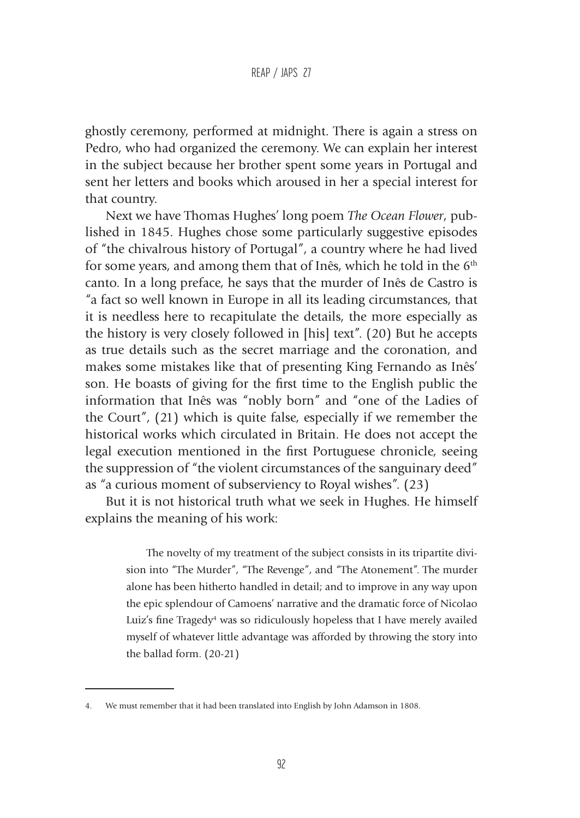ghostly ceremony, performed at midnight. There is again a stress on Pedro, who had organized the ceremony. We can explain her interest in the subject because her brother spent some years in Portugal and sent her letters and books which aroused in her a special interest for that country.

Next we have Thomas Hughes' long poem *The Ocean Flower*, published in 1845. Hughes chose some particularly suggestive episodes of "the chivalrous history of Portugal", a country where he had lived for some years, and among them that of Inês, which he told in the  $6<sup>th</sup>$ canto. In a long preface, he says that the murder of Inês de Castro is "a fact so well known in Europe in all its leading circumstances, that it is needless here to recapitulate the details, the more especially as the history is very closely followed in [his] text". (20) But he accepts as true details such as the secret marriage and the coronation, and makes some mistakes like that of presenting King Fernando as Inês' son. He boasts of giving for the first time to the English public the information that Inês was "nobly born" and "one of the Ladies of the Court", (21) which is quite false, especially if we remember the historical works which circulated in Britain. He does not accept the legal execution mentioned in the first Portuguese chronicle, seeing the suppression of "the violent circumstances of the sanguinary deed" as "a curious moment of subserviency to Royal wishes". (23)

But it is not historical truth what we seek in Hughes. He himself explains the meaning of his work:

> The novelty of my treatment of the subject consists in its tripartite division into "The Murder", "The Revenge", and "The Atonement". The murder alone has been hitherto handled in detail; and to improve in any way upon the epic splendour of Camoens' narrative and the dramatic force of Nicolao Luiz's fine Tragedy<sup>4</sup> was so ridiculously hopeless that I have merely availed myself of whatever little advantage was afforded by throwing the story into the ballad form. (20-21)

We must remember that it had been translated into English by John Adamson in 1808.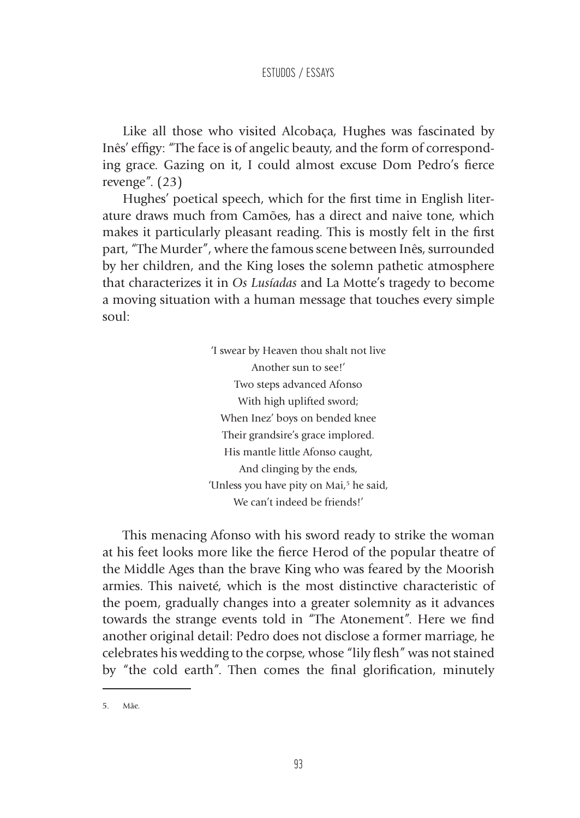Like all those who visited Alcobaça, Hughes was fascinated by Inês' effigy: "The face is of angelic beauty, and the form of corresponding grace. Gazing on it, I could almost excuse Dom Pedro's fierce revenge". (23)

Hughes' poetical speech, which for the first time in English literature draws much from Camões, has a direct and naive tone, which makes it particularly pleasant reading. This is mostly felt in the first part, "The Murder", where the famous scene between Inês, surrounded by her children, and the King loses the solemn pathetic atmosphere that characterizes it in *Os Lusíadas* and La Motte's tragedy to become a moving situation with a human message that touches every simple soul:

> 'I swear by Heaven thou shalt not live Another sun to see!' Two steps advanced Afonso With high uplifted sword; When Inez' boys on bended knee Their grandsire's grace implored. His mantle little Afonso caught, And clinging by the ends, 'Unless you have pity on Mai,<sup>5</sup> he said, We can't indeed be friends!'

This menacing Afonso with his sword ready to strike the woman at his feet looks more like the fierce Herod of the popular theatre of the Middle Ages than the brave King who was feared by the Moorish armies. This naiveté, which is the most distinctive characteristic of the poem, gradually changes into a greater solemnity as it advances towards the strange events told in "The Atonement". Here we find another original detail: Pedro does not disclose a former marriage, he celebrates his wedding to the corpse, whose "lily flesh" was not stained by "the cold earth". Then comes the final glorification, minutely

<sup>5.</sup> Mãe.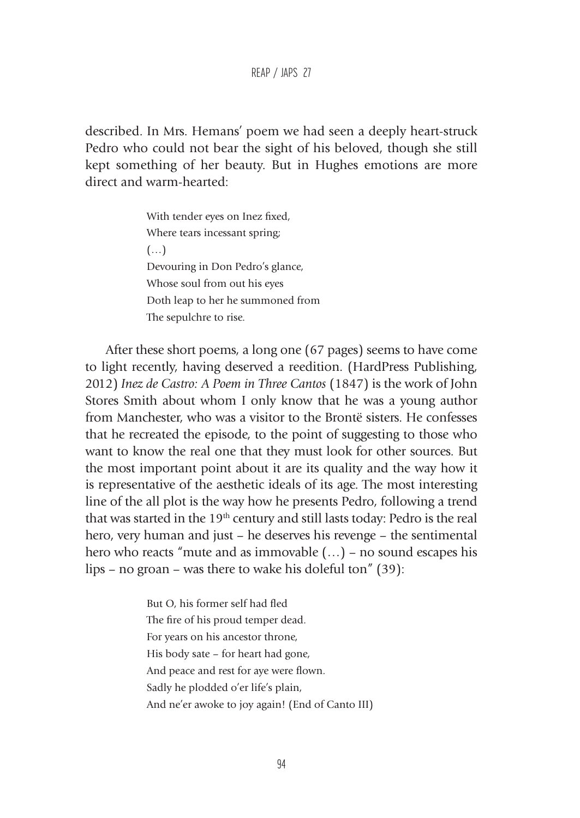REAP / JAPS 27

described. In Mrs. Hemans' poem we had seen a deeply heart-struck Pedro who could not bear the sight of his beloved, though she still kept something of her beauty. But in Hughes emotions are more direct and warm-hearted:

> With tender eyes on Inez fixed, Where tears incessant spring; (…) Devouring in Don Pedro's glance, Whose soul from out his eyes Doth leap to her he summoned from The sepulchre to rise.

After these short poems, a long one (67 pages) seems to have come to light recently, having deserved a reedition. (HardPress Publishing, 2012) *Inez de Castro: A Poem in Three Cantos* (1847) is the work of John Stores Smith about whom I only know that he was a young author from Manchester, who was a visitor to the Brontë sisters. He confesses that he recreated the episode, to the point of suggesting to those who want to know the real one that they must look for other sources. But the most important point about it are its quality and the way how it is representative of the aesthetic ideals of its age. The most interesting line of the all plot is the way how he presents Pedro, following a trend that was started in the 19<sup>th</sup> century and still lasts today: Pedro is the real hero, very human and just – he deserves his revenge – the sentimental hero who reacts "mute and as immovable (…) – no sound escapes his lips – no groan – was there to wake his doleful ton" (39):

> But O, his former self had fled The fire of his proud temper dead. For years on his ancestor throne, His body sate – for heart had gone, And peace and rest for aye were flown. Sadly he plodded o'er life's plain, And ne'er awoke to joy again! (End of Canto III)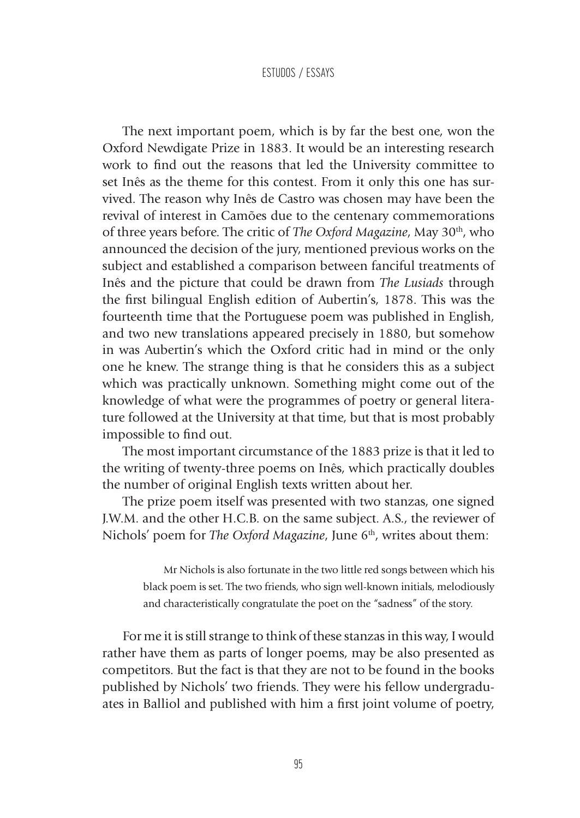The next important poem, which is by far the best one, won the Oxford Newdigate Prize in 1883. It would be an interesting research work to find out the reasons that led the University committee to set Inês as the theme for this contest. From it only this one has survived. The reason why Inês de Castro was chosen may have been the revival of interest in Camões due to the centenary commemorations of three years before. The critic of *The Oxford Magazine*, May 30th, who announced the decision of the jury, mentioned previous works on the subject and established a comparison between fanciful treatments of Inês and the picture that could be drawn from *The Lusiads* through the first bilingual English edition of Aubertin's, 1878. This was the fourteenth time that the Portuguese poem was published in English, and two new translations appeared precisely in 1880, but somehow in was Aubertin's which the Oxford critic had in mind or the only one he knew. The strange thing is that he considers this as a subject which was practically unknown. Something might come out of the knowledge of what were the programmes of poetry or general literature followed at the University at that time, but that is most probably impossible to find out.

The most important circumstance of the 1883 prize is that it led to the writing of twenty-three poems on Inês, which practically doubles the number of original English texts written about her.

The prize poem itself was presented with two stanzas, one signed J.W.M. and the other H.C.B. on the same subject. A.S., the reviewer of Nichols' poem for *The Oxford Magazine*, June 6<sup>th</sup>, writes about them:

> Mr Nichols is also fortunate in the two little red songs between which his black poem is set. The two friends, who sign well-known initials, melodiously and characteristically congratulate the poet on the "sadness" of the story.

For me it is still strange to think of these stanzas in this way, I would rather have them as parts of longer poems, may be also presented as competitors. But the fact is that they are not to be found in the books published by Nichols' two friends. They were his fellow undergraduates in Balliol and published with him a first joint volume of poetry,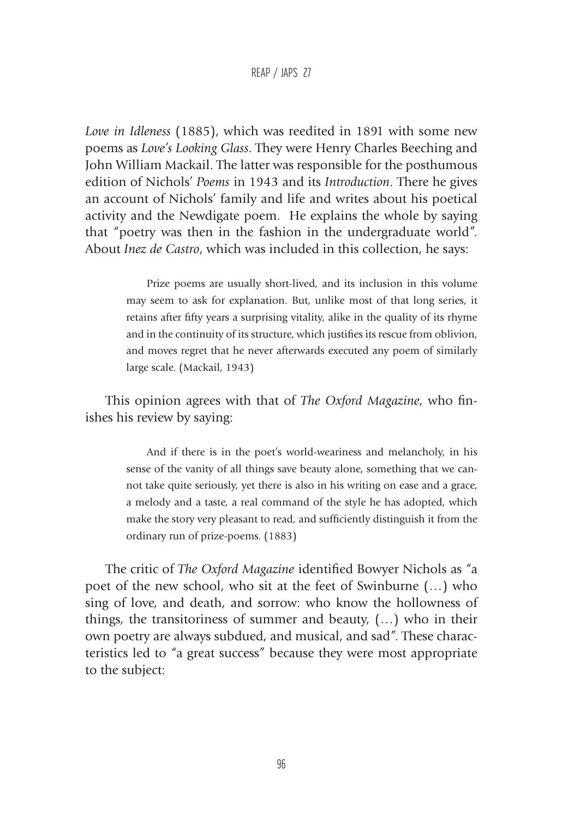#### REAP / JAPS 27

*Love in Idleness* (1885), which was reedited in 1891 with some new poems as *Love's Looking Glass*. They were Henry Charles Beeching and John William Mackail. The latter was responsible for the posthumous edition of Nichols' *Poems* in 1943 and its *Introduction*. There he gives an account of Nichols' family and life and writes about his poetical activity and the Newdigate poem. He explains the whole by saying that "poetry was then in the fashion in the undergraduate world". About *Inez de Castro*, which was included in this collection, he says:

> Prize poems are usually short-lived, and its inclusion in this volume may seem to ask for explanation. But, unlike most of that long series, it retains after fifty years a surprising vitality, alike in the quality of its rhyme and in the continuity of its structure, which justifies its rescue from oblivion, and moves regret that he never afterwards executed any poem of similarly large scale. (Mackail, 1943)

This opinion agrees with that of *The Oxford Magazine*, who finishes his review by saying:

> And if there is in the poet's world-weariness and melancholy, in his sense of the vanity of all things save beauty alone, something that we cannot take quite seriously, yet there is also in his writing on ease and a grace, a melody and a taste, a real command of the style he has adopted, which make the story very pleasant to read, and sufficiently distinguish it from the ordinary run of prize-poems. (1883)

The critic of *The Oxford Magazine* identified Bowyer Nichols as "a poet of the new school, who sit at the feet of Swinburne (…) who sing of love, and death, and sorrow: who know the hollowness of things, the transitoriness of summer and beauty, (…) who in their own poetry are always subdued, and musical, and sad". These characteristics led to "a great success" because they were most appropriate to the subject: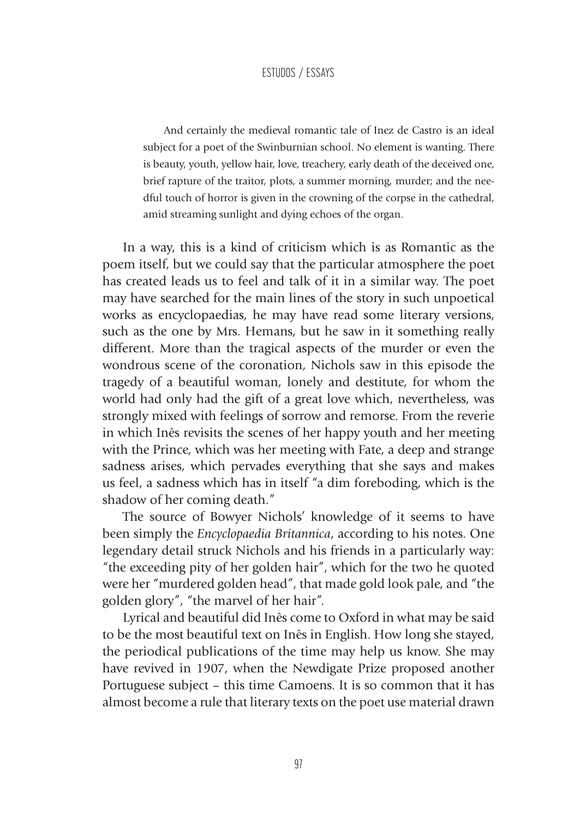And certainly the medieval romantic tale of Inez de Castro is an ideal subject for a poet of the Swinburnian school. No element is wanting. There is beauty, youth, yellow hair, love, treachery, early death of the deceived one, brief rapture of the traitor, plots, a summer morning, murder; and the needful touch of horror is given in the crowning of the corpse in the cathedral, amid streaming sunlight and dying echoes of the organ.

In a way, this is a kind of criticism which is as Romantic as the poem itself, but we could say that the particular atmosphere the poet has created leads us to feel and talk of it in a similar way. The poet may have searched for the main lines of the story in such unpoetical works as encyclopaedias, he may have read some literary versions, such as the one by Mrs. Hemans, but he saw in it something really different. More than the tragical aspects of the murder or even the wondrous scene of the coronation, Nichols saw in this episode the tragedy of a beautiful woman, lonely and destitute, for whom the world had only had the gift of a great love which, nevertheless, was strongly mixed with feelings of sorrow and remorse. From the reverie in which Inês revisits the scenes of her happy youth and her meeting with the Prince, which was her meeting with Fate, a deep and strange sadness arises, which pervades everything that she says and makes us feel, a sadness which has in itself "a dim foreboding, which is the shadow of her coming death."

The source of Bowyer Nichols' knowledge of it seems to have been simply the *Encyclopaedia Britannica*, according to his notes. One legendary detail struck Nichols and his friends in a particularly way: "the exceeding pity of her golden hair", which for the two he quoted were her "murdered golden head", that made gold look pale, and "the golden glory", "the marvel of her hair".

Lyrical and beautiful did Inês come to Oxford in what may be said to be the most beautiful text on Inês in English. How long she stayed, the periodical publications of the time may help us know. She may have revived in 1907, when the Newdigate Prize proposed another Portuguese subject – this time Camoens. It is so common that it has almost become a rule that literary texts on the poet use material drawn